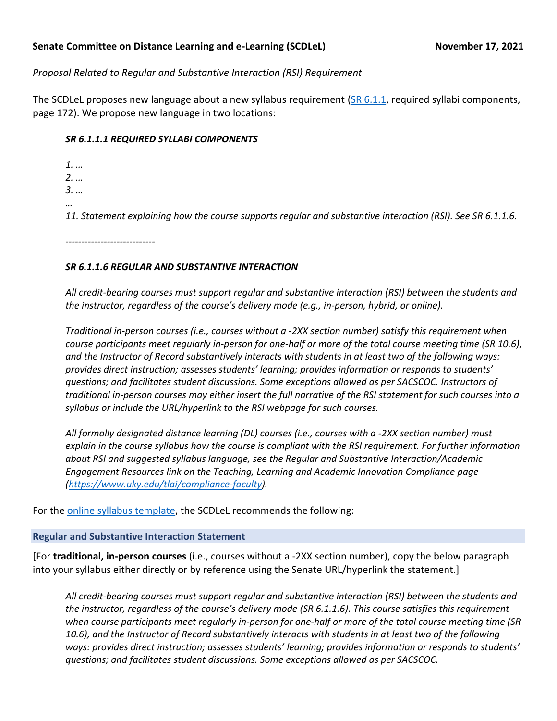### **Senate Committee on Distance Learning and e-Learning (SCDLeL) November 17, 2021**

# *Proposal Related to Regular and Substantive Interaction (RSI) Requirement*

The SCDLeL proposes new language about a new syllabus requirement [\(SR 6.1.1,](https://www.uky.edu/universitysenate/sites/www.uky.edu.universitysenate/files/Rules/Current_SRs/MASTER%20RULES%20September%202021_clean.pdf) required syllabi components, page 172). We propose new language in two locations:

## *SR 6.1.1.1 REQUIRED SYLLABI COMPONENTS*

*1. … 2. … 3. … … 11. Statement explaining how the course supports regular and substantive interaction (RSI). See SR 6.1.1.6.*

*----------------------------*

## *SR 6.1.1.6 REGULAR AND SUBSTANTIVE INTERACTION*

*All credit-bearing courses must support regular and substantive interaction (RSI) between the students and the instructor, regardless of the course's delivery mode (e.g., in-person, hybrid, or online).* 

*Traditional in-person courses (i.e., courses without a -2XX section number) satisfy this requirement when course participants meet regularly in-person for one-half or more of the total course meeting time (SR 10.6), and the Instructor of Record substantively interacts with students in at least two of the following ways: provides direct instruction; assesses students' learning; provides information or responds to students' questions; and facilitates student discussions. Some exceptions allowed as per SACSCOC. Instructors of traditional in-person courses may either insert the full narrative of the RSI statement for such courses into a syllabus or include the URL/hyperlink to the RSI webpage for such courses.* 

*All formally designated distance learning (DL) courses (i.e., courses with a -2XX section number) must explain in the course syllabus how the course is compliant with the RSI requirement. For further information about RSI and suggested syllabus language, see the Regular and Substantive Interaction/Academic Engagement Resources link on the Teaching, Learning and Academic Innovation Compliance page [\(https://www.uky.edu/tlai/compliance-faculty\)](https://www.uky.edu/tlai/compliance-faculty).*

For th[e online syllabus template,](https://www.uky.edu/universitysenate/syllabus-template) the SCDLeL recommends the following:

## **Regular and Substantive Interaction Statement**

[For **traditional, in-person courses** (i.e., courses without a -2XX section number), copy the below paragraph into your syllabus either directly or by reference using the Senate URL/hyperlink the statement.]

*All credit-bearing courses must support regular and substantive interaction (RSI) between the students and the instructor, regardless of the course's delivery mode (SR 6.1.1.6). This course satisfies this requirement when course participants meet regularly in-person for one-half or more of the total course meeting time (SR 10.6), and the Instructor of Record substantively interacts with students in at least two of the following ways: provides direct instruction; assesses students' learning; provides information or responds to students' questions; and facilitates student discussions. Some exceptions allowed as per SACSCOC.*